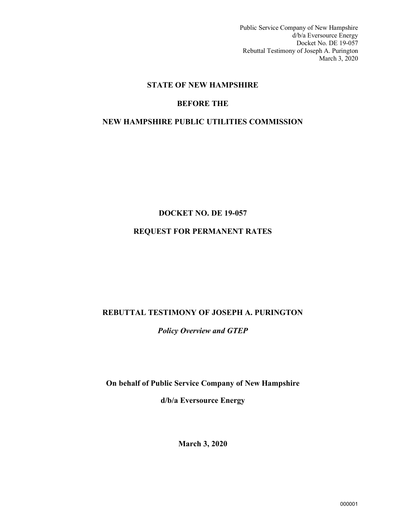Public Service Company of New Hampshire d/b/a Eversource Energy Docket No. DE 19-057 Rebuttal Testimony of Joseph A. Purington March 3, 2020

# **STATE OF NEW HAMPSHIRE**

# **BEFORE THE**

## **NEW HAMPSHIRE PUBLIC UTILITIES COMMISSION**

# **DOCKET NO. DE 19-057**

# **REQUEST FOR PERMANENT RATES**

#### **REBUTTAL TESTIMONY OF JOSEPH A. PURINGTON**

*Policy Overview and GTEP*

**On behalf of Public Service Company of New Hampshire** 

**d/b/a Eversource Energy**

**March 3, 2020**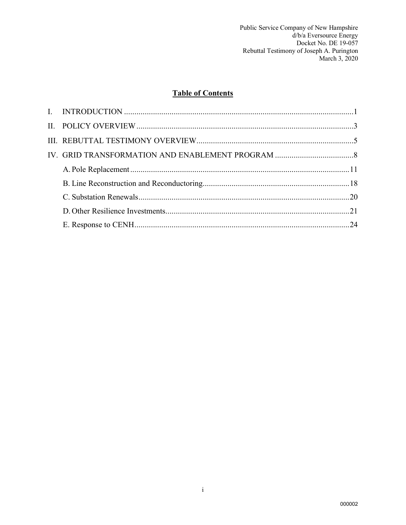# **Table of Contents**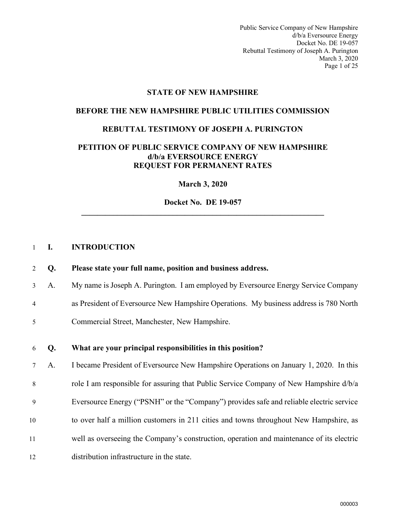Public Service Company of New Hampshire d/b/a Eversource Energy Docket No. DE 19-057 Rebuttal Testimony of Joseph A. Purington March 3, 2020 Page 1 of 25

# **STATE OF NEW HAMPSHIRE**

#### **BEFORE THE NEW HAMPSHIRE PUBLIC UTILITIES COMMISSION**

### **REBUTTAL TESTIMONY OF JOSEPH A. PURINGTON**

# **PETITION OF PUBLIC SERVICE COMPANY OF NEW HAMPSHIRE d/b/a EVERSOURCE ENERGY REQUEST FOR PERMANENT RATES**

**March 3, 2020**

**Docket No. DE 19-057 \_\_\_\_\_\_\_\_\_\_\_\_\_\_\_\_\_\_\_\_\_\_\_\_\_\_\_\_\_\_\_\_\_\_\_\_\_\_\_\_\_\_\_\_\_\_\_\_\_\_\_\_\_\_\_\_\_\_\_\_\_** 

#### <span id="page-2-0"></span>1 **I. INTRODUCTION**

#### 2 **Q. Please state your full name, position and business address.**

- 3 A. My name is Joseph A. Purington. I am employed by Eversource Energy Service Company
- 4 as President of Eversource New Hampshire Operations. My business address is 780 North
- 5 Commercial Street, Manchester, New Hampshire.

#### 6 **Q. What are your principal responsibilities in this position?**

7 A. I became President of Eversource New Hampshire Operations on January 1, 2020. In this 8 role I am responsible for assuring that Public Service Company of New Hampshire d/b/a 9 Eversource Energy ("PSNH" or the "Company") provides safe and reliable electric service 10 to over half a million customers in 211 cities and towns throughout New Hampshire, as 11 well as overseeing the Company's construction, operation and maintenance of its electric 12 distribution infrastructure in the state.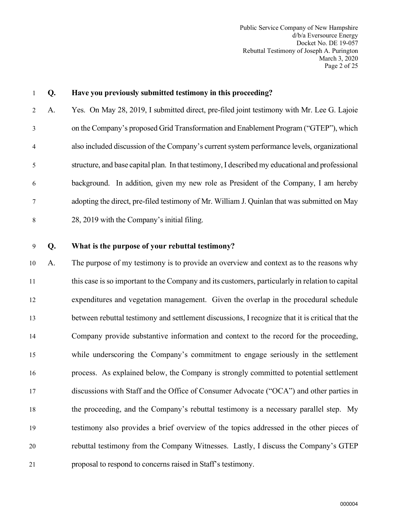Public Service Company of New Hampshire d/b/a Eversource Energy Docket No. DE 19-057 Rebuttal Testimony of Joseph A. Purington March 3, 2020 Page 2 of 25

# 1 **Q. Have you previously submitted testimony in this proceeding?** 2 A. Yes. On May 28, 2019, I submitted direct, pre-filed joint testimony with Mr. Lee G. Lajoie 3 on the Company's proposed Grid Transformation and Enablement Program ("GTEP"), which 4 also included discussion of the Company's current system performance levels, organizational 5 structure, and base capital plan. In that testimony, I described my educational and professional 6 background. In addition, given my new role as President of the Company, I am hereby 7 adopting the direct, pre-filed testimony of Mr. William J. Quinlan that was submitted on May 8 28, 2019 with the Company's initial filing. 9 **Q. What is the purpose of your rebuttal testimony?** 10 A. The purpose of my testimony is to provide an overview and context as to the reasons why 11 this case is so important to the Company and its customers, particularly in relation to capital 12 expenditures and vegetation management. Given the overlap in the procedural schedule 13 between rebuttal testimony and settlement discussions, I recognize that it is critical that the 14 Company provide substantive information and context to the record for the proceeding, 15 while underscoring the Company's commitment to engage seriously in the settlement 16 process. As explained below, the Company is strongly committed to potential settlement 17 discussions with Staff and the Office of Consumer Advocate ("OCA") and other parties in 18 the proceeding, and the Company's rebuttal testimony is a necessary parallel step. My 19 testimony also provides a brief overview of the topics addressed in the other pieces of 20 rebuttal testimony from the Company Witnesses. Lastly, I discuss the Company's GTEP

21 proposal to respond to concerns raised in Staff's testimony.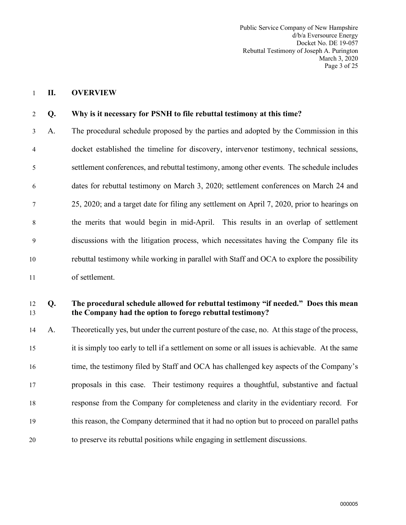Public Service Company of New Hampshire d/b/a Eversource Energy Docket No. DE 19-057 Rebuttal Testimony of Joseph A. Purington March 3, 2020 Page 3 of 25

#### <span id="page-4-0"></span>1 **II. OVERVIEW**

#### 2 **Q. Why is it necessary for PSNH to file rebuttal testimony at this time?**

3 A. The procedural schedule proposed by the parties and adopted by the Commission in this 4 docket established the timeline for discovery, intervenor testimony, technical sessions, 5 settlement conferences, and rebuttal testimony, among other events. The schedule includes 6 dates for rebuttal testimony on March 3, 2020; settlement conferences on March 24 and 7 25, 2020; and a target date for filing any settlement on April 7, 2020, prior to hearings on 8 the merits that would begin in mid-April. This results in an overlap of settlement 9 discussions with the litigation process, which necessitates having the Company file its 10 rebuttal testimony while working in parallel with Staff and OCA to explore the possibility 11 of settlement.

# 12 **Q. The procedural schedule allowed for rebuttal testimony "if needed." Does this mean**  13 **the Company had the option to forego rebuttal testimony?**

14 A. Theoretically yes, but under the current posture of the case, no. At this stage of the process, 15 it is simply too early to tell if a settlement on some or all issues is achievable. At the same 16 time, the testimony filed by Staff and OCA has challenged key aspects of the Company's 17 proposals in this case. Their testimony requires a thoughtful, substantive and factual 18 response from the Company for completeness and clarity in the evidentiary record. For 19 this reason, the Company determined that it had no option but to proceed on parallel paths 20 to preserve its rebuttal positions while engaging in settlement discussions.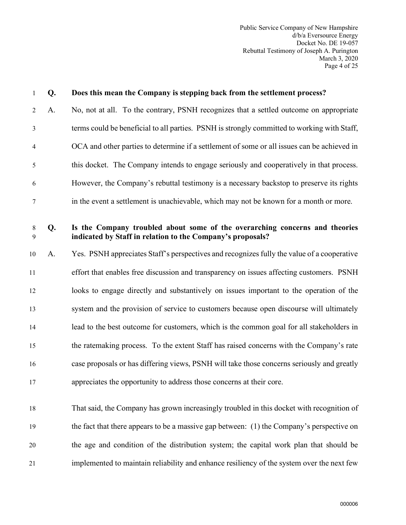| 1                    | Q. | Does this mean the Company is stepping back from the settlement process?                                                                  |
|----------------------|----|-------------------------------------------------------------------------------------------------------------------------------------------|
| $\overline{2}$       | A. | No, not at all. To the contrary, PSNH recognizes that a settled outcome on appropriate                                                    |
| 3                    |    | terms could be beneficial to all parties. PSNH is strongly committed to working with Staff,                                               |
| $\overline{4}$       |    | OCA and other parties to determine if a settlement of some or all issues can be achieved in                                               |
| 5                    |    | this docket. The Company intends to engage seriously and cooperatively in that process.                                                   |
| 6                    |    | However, the Company's rebuttal testimony is a necessary backstop to preserve its rights                                                  |
| 7                    |    | in the event a settlement is unachievable, which may not be known for a month or more.                                                    |
| $8\phantom{.0}$<br>9 | Q. | Is the Company troubled about some of the overarching concerns and theories<br>indicated by Staff in relation to the Company's proposals? |
| 10                   | A. | Yes. PSNH appreciates Staff's perspectives and recognizes fully the value of a cooperative                                                |
| 11                   |    | effort that enables free discussion and transparency on issues affecting customers. PSNH                                                  |
| 12                   |    | looks to engage directly and substantively on issues important to the operation of the                                                    |
| 13                   |    | system and the provision of service to customers because open discourse will ultimately                                                   |
| 14                   |    | lead to the best outcome for customers, which is the common goal for all stakeholders in                                                  |
| 15                   |    | the ratemaking process. To the extent Staff has raised concerns with the Company's rate                                                   |
| 16                   |    | case proposals or has differing views, PSNH will take those concerns seriously and greatly                                                |
| 17                   |    | appreciates the opportunity to address those concerns at their core.                                                                      |
| 18                   |    | That said, the Company has grown increasingly troubled in this docket with recognition of                                                 |
| 19                   |    | the fact that there appears to be a massive gap between: (1) the Company's perspective on                                                 |
| 20                   |    | the age and condition of the distribution system; the capital work plan that should be                                                    |
| 21                   |    | implemented to maintain reliability and enhance resiliency of the system over the next few                                                |
|                      |    |                                                                                                                                           |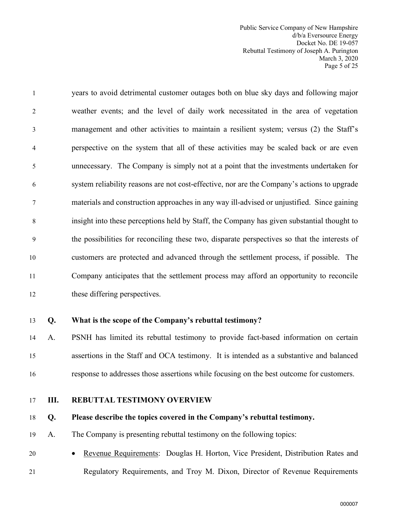Public Service Company of New Hampshire d/b/a Eversource Energy Docket No. DE 19-057 Rebuttal Testimony of Joseph A. Purington March 3, 2020 Page 5 of 25

1 years to avoid detrimental customer outages both on blue sky days and following major 2 weather events; and the level of daily work necessitated in the area of vegetation 3 management and other activities to maintain a resilient system; versus (2) the Staff's 4 perspective on the system that all of these activities may be scaled back or are even 5 unnecessary. The Company is simply not at a point that the investments undertaken for 6 system reliability reasons are not cost-effective, nor are the Company's actions to upgrade 7 materials and construction approaches in any way ill-advised or unjustified. Since gaining 8 insight into these perceptions held by Staff, the Company has given substantial thought to 9 the possibilities for reconciling these two, disparate perspectives so that the interests of 10 customers are protected and advanced through the settlement process, if possible. The 11 Company anticipates that the settlement process may afford an opportunity to reconcile 12 these differing perspectives.

#### 13 **Q. What is the scope of the Company's rebuttal testimony?**

14 A. PSNH has limited its rebuttal testimony to provide fact-based information on certain 15 assertions in the Staff and OCA testimony. It is intended as a substantive and balanced 16 response to addresses those assertions while focusing on the best outcome for customers.

#### <span id="page-6-0"></span>17 **III. REBUTTAL TESTIMONY OVERVIEW**

#### 18 **Q. Please describe the topics covered in the Company's rebuttal testimony.**

- 19 A. The Company is presenting rebuttal testimony on the following topics:
- 20 Revenue Requirements: Douglas H. Horton, Vice President, Distribution Rates and 21 Regulatory Requirements, and Troy M. Dixon, Director of Revenue Requirements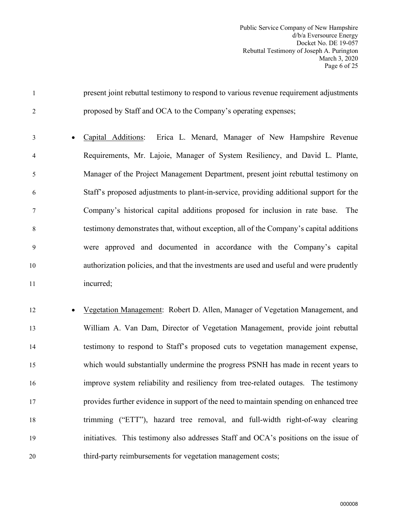| 1              | present joint rebuttal testimony to respond to various revenue requirement adjustments  |
|----------------|-----------------------------------------------------------------------------------------|
| $\overline{2}$ | proposed by Staff and OCA to the Company's operating expenses;                          |
| 3              | Capital Additions:<br>Erica L. Menard, Manager of New Hampshire Revenue                 |
| 4              | Requirements, Mr. Lajoie, Manager of System Resiliency, and David L. Plante,            |
| 5              | Manager of the Project Management Department, present joint rebuttal testimony on       |
| 6              | Staff's proposed adjustments to plant-in-service, providing additional support for the  |
| 7              | Company's historical capital additions proposed for inclusion in rate base.<br>The      |
| $\,8\,$        | testimony demonstrates that, without exception, all of the Company's capital additions  |
| 9              | were approved and documented in accordance with the Company's capital                   |
| 10             | authorization policies, and that the investments are used and useful and were prudently |
| 11             | incurred;                                                                               |
| 12             | Vegetation Management: Robert D. Allen, Manager of Vegetation Management, and           |
| 13             | William A. Van Dam, Director of Vegetation Management, provide joint rebuttal           |
| 14             | testimony to respond to Staff's proposed cuts to vegetation management expense,         |
| 15             | which would substantially undermine the progress PSNH has made in recent years to       |
| 16             | improve system reliability and resiliency from tree-related outages. The testimony      |
| 17             | provides further evidence in support of the need to maintain spending on enhanced tree  |
| 18             | trimming ("ETT"), hazard tree removal, and full-width right-of-way clearing             |
| 19             | initiatives. This testimony also addresses Staff and OCA's positions on the issue of    |
|                |                                                                                         |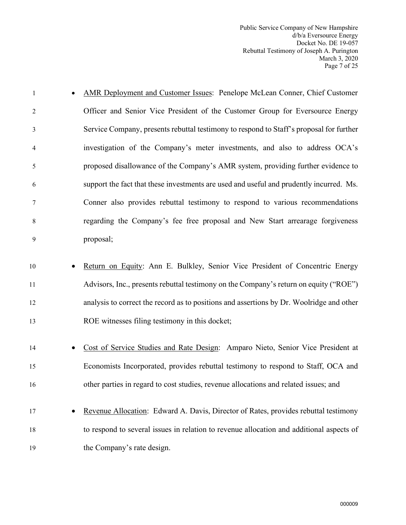Public Service Company of New Hampshire d/b/a Eversource Energy Docket No. DE 19-057 Rebuttal Testimony of Joseph A. Purington March 3, 2020 Page 7 of 25

- 1 AMR Deployment and Customer Issues: Penelope McLean Conner, Chief Customer 2 Officer and Senior Vice President of the Customer Group for Eversource Energy 3 Service Company, presents rebuttal testimony to respond to Staff's proposal for further 4 investigation of the Company's meter investments, and also to address OCA's 5 proposed disallowance of the Company's AMR system, providing further evidence to 6 support the fact that these investments are used and useful and prudently incurred. Ms. 7 Conner also provides rebuttal testimony to respond to various recommendations 8 regarding the Company's fee free proposal and New Start arrearage forgiveness 9 proposal; 10 • Return on Equity: Ann E. Bulkley, Senior Vice President of Concentric Energy 11 Advisors, Inc., presents rebuttal testimony on the Company's return on equity ("ROE") 12 analysis to correct the record as to positions and assertions by Dr. Woolridge and other 13 ROE witnesses filing testimony in this docket; 14 • Cost of Service Studies and Rate Design: Amparo Nieto, Senior Vice President at 15 Economists Incorporated, provides rebuttal testimony to respond to Staff, OCA and 16 other parties in regard to cost studies, revenue allocations and related issues; and
- 17 Revenue Allocation: Edward A. Davis, Director of Rates, provides rebuttal testimony 18 to respond to several issues in relation to revenue allocation and additional aspects of 19 the Company's rate design.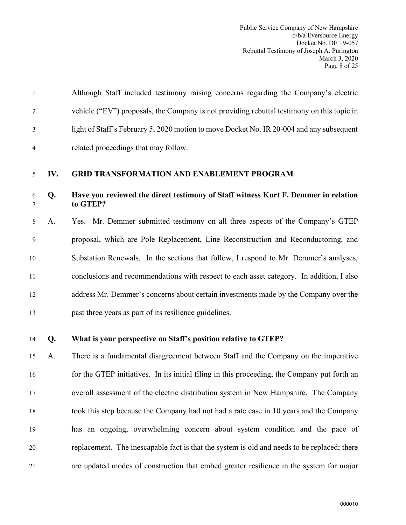|   | Although Staff included testimony raising concerns regarding the Company's electric        |
|---|--------------------------------------------------------------------------------------------|
| 2 | vehicle ("EV") proposals, the Company is not providing rebuttal testimony on this topic in |
| 3 | light of Staff's February 5, 2020 motion to move Docket No. IR 20-004 and any subsequent   |
| 4 | related proceedings that may follow.                                                       |

### <span id="page-9-0"></span>5 **IV. GRID TRANSFORMATION AND ENABLEMENT PROGRAM**

# 6 **Q. Have you reviewed the direct testimony of Staff witness Kurt F. Demmer in relation**  7 **to GTEP?**

8 A. Yes. Mr. Demmer submitted testimony on all three aspects of the Company's GTEP 9 proposal, which are Pole Replacement, Line Reconstruction and Reconductoring, and 10 Substation Renewals. In the sections that follow, I respond to Mr. Demmer's analyses, 11 conclusions and recommendations with respect to each asset category. In addition, I also 12 address Mr. Demmer's concerns about certain investments made by the Company over the 13 past three years as part of its resilience guidelines.

# 14 **Q. What is your perspective on Staff's position relative to GTEP?**

15 A. There is a fundamental disagreement between Staff and the Company on the imperative 16 for the GTEP initiatives. In its initial filing in this proceeding, the Company put forth an 17 overall assessment of the electric distribution system in New Hampshire. The Company 18 took this step because the Company had not had a rate case in 10 years and the Company 19 has an ongoing, overwhelming concern about system condition and the pace of 20 replacement. The inescapable fact is that the system is old and needs to be replaced; there 21 are updated modes of construction that embed greater resilience in the system for major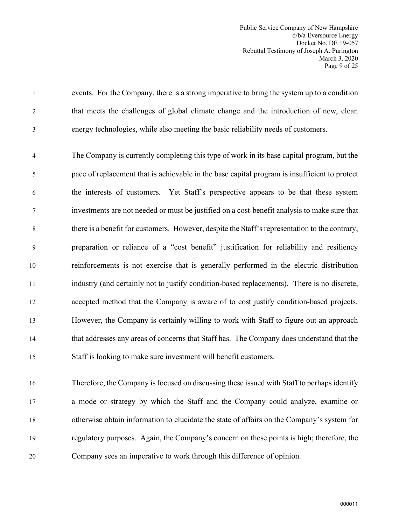Public Service Company of New Hampshire d/b/a Eversource Energy Docket No. DE 19-057 Rebuttal Testimony of Joseph A. Purington March 3, 2020 Page 9 of 25

1 events. For the Company, there is a strong imperative to bring the system up to a condition 2 that meets the challenges of global climate change and the introduction of new, clean 3 energy technologies, while also meeting the basic reliability needs of customers.

4 The Company is currently completing this type of work in its base capital program, but the 5 pace of replacement that is achievable in the base capital program is insufficient to protect 6 the interests of customers. Yet Staff's perspective appears to be that these system 7 investments are not needed or must be justified on a cost-benefit analysis to make sure that 8 there is a benefit for customers. However, despite the Staff's representation to the contrary, 9 preparation or reliance of a "cost benefit" justification for reliability and resiliency 10 reinforcements is not exercise that is generally performed in the electric distribution 11 industry (and certainly not to justify condition-based replacements). There is no discrete, 12 accepted method that the Company is aware of to cost justify condition-based projects. 13 However, the Company is certainly willing to work with Staff to figure out an approach 14 that addresses any areas of concerns that Staff has. The Company does understand that the 15 Staff is looking to make sure investment will benefit customers.

16 Therefore, the Company is focused on discussing these issued with Staff to perhaps identify 17 a mode or strategy by which the Staff and the Company could analyze, examine or 18 otherwise obtain information to elucidate the state of affairs on the Company's system for 19 regulatory purposes. Again, the Company's concern on these points is high; therefore, the 20 Company sees an imperative to work through this difference of opinion.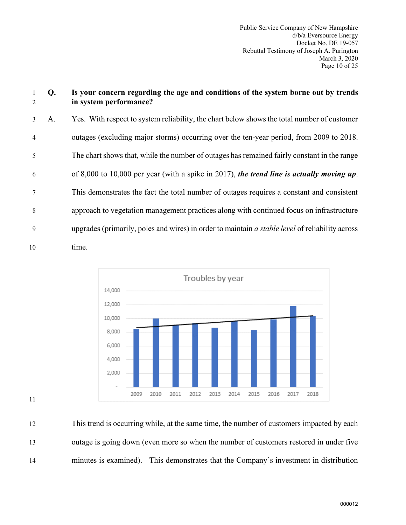# 1 **Q. Is your concern regarding the age and conditions of the system borne out by trends**  2 **in system performance?**

3 A. Yes. With respect to system reliability, the chart below shows the total number of customer 4 outages (excluding major storms) occurring over the ten-year period, from 2009 to 2018. 5 The chart shows that, while the number of outages has remained fairly constant in the range 6 of 8,000 to 10,000 per year (with a spike in 2017), *the trend line is actually moving up*. 7 This demonstrates the fact the total number of outages requires a constant and consistent 8 approach to vegetation management practices along with continued focus on infrastructure 9 upgrades (primarily, poles and wires) in order to maintain *a stable level* of reliability across 10 time.





12 This trend is occurring while, at the same time, the number of customers impacted by each 13 outage is going down (even more so when the number of customers restored in under five 14 minutes is examined). This demonstrates that the Company's investment in distribution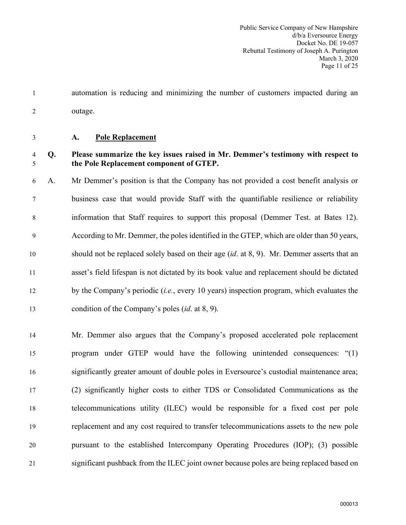1 automation is reducing and minimizing the number of customers impacted during an 2 outage.

# <span id="page-12-0"></span>3 **A. Pole Replacement**

# 4 **Q. Please summarize the key issues raised in Mr. Demmer's testimony with respect to**  5 **the Pole Replacement component of GTEP.**

6 A. Mr Demmer's position is that the Company has not provided a cost benefit analysis or 7 business case that would provide Staff with the quantifiable resilience or reliability 8 information that Staff requires to support this proposal (Demmer Test. at Bates 12). 9 According to Mr. Demmer, the poles identified in the GTEP, which are older than 50 years, 10 should not be replaced solely based on their age (*id*. at 8, 9). Mr. Demmer asserts that an 11 asset's field lifespan is not dictated by its book value and replacement should be dictated 12 by the Company's periodic (*i.e.*, every 10 years) inspection program, which evaluates the 13 condition of the Company's poles (*id*. at 8, 9).

14 Mr. Demmer also argues that the Company's proposed accelerated pole replacement 15 program under GTEP would have the following unintended consequences: "(1) 16 significantly greater amount of double poles in Eversource's custodial maintenance area; 17 (2) significantly higher costs to either TDS or Consolidated Communications as the 18 telecommunications utility (ILEC) would be responsible for a fixed cost per pole 19 replacement and any cost required to transfer telecommunications assets to the new pole 20 pursuant to the established Intercompany Operating Procedures (IOP); (3) possible 21 significant pushback from the ILEC joint owner because poles are being replaced based on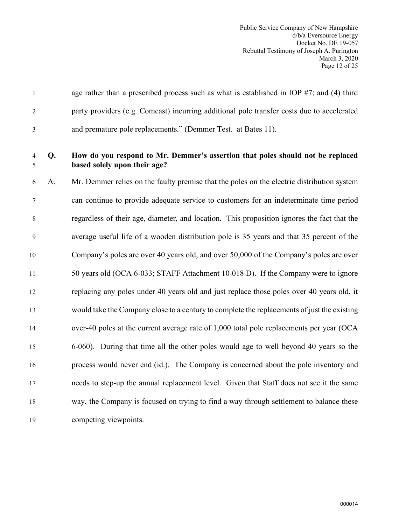| age rather than a prescribed process such as what is established in IOP $#7$ ; and (4) third |
|----------------------------------------------------------------------------------------------|
| party providers (e.g. Comcast) incurring additional pole transfer costs due to accelerated   |
| and premature pole replacements." (Demmer Test. at Bates 11).                                |

# 4 **Q. How do you respond to Mr. Demmer's assertion that poles should not be replaced**  5 **based solely upon their age?**

6 A. Mr. Demmer relies on the faulty premise that the poles on the electric distribution system 7 can continue to provide adequate service to customers for an indeterminate time period 8 regardless of their age, diameter, and location. This proposition ignores the fact that the 9 average useful life of a wooden distribution pole is 35 years and that 35 percent of the 10 Company's poles are over 40 years old, and over 50,000 of the Company's poles are over 11 50 years old (OCA 6-033; STAFF Attachment 10-018 D). If the Company were to ignore 12 replacing any poles under 40 years old and just replace those poles over 40 years old, it 13 would take the Company close to a century to complete the replacements of just the existing 14 over-40 poles at the current average rate of 1,000 total pole replacements per year (OCA 15 6-060). During that time all the other poles would age to well beyond 40 years so the 16 process would never end (id.). The Company is concerned about the pole inventory and 17 needs to step-up the annual replacement level. Given that Staff does not see it the same 18 way, the Company is focused on trying to find a way through settlement to balance these 19 competing viewpoints.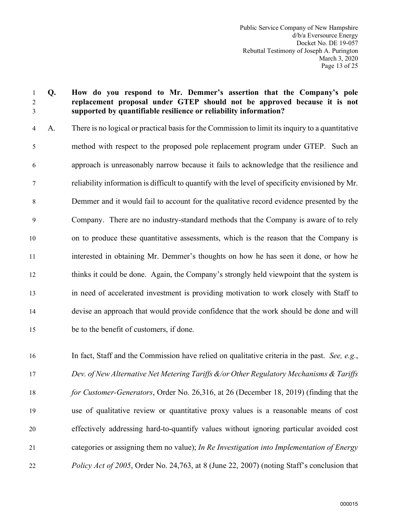# 1 **Q. How do you respond to Mr. Demmer's assertion that the Company's pole**  2 **replacement proposal under GTEP should not be approved because it is not**  3 **supported by quantifiable resilience or reliability information?**

4 A. There is no logical or practical basis for the Commission to limit its inquiry to a quantitative 5 method with respect to the proposed pole replacement program under GTEP. Such an 6 approach is unreasonably narrow because it fails to acknowledge that the resilience and 7 reliability information is difficult to quantify with the level of specificity envisioned by Mr. 8 Demmer and it would fail to account for the qualitative record evidence presented by the 9 Company. There are no industry-standard methods that the Company is aware of to rely 10 on to produce these quantitative assessments, which is the reason that the Company is 11 interested in obtaining Mr. Demmer's thoughts on how he has seen it done, or how he 12 thinks it could be done. Again, the Company's strongly held viewpoint that the system is 13 in need of accelerated investment is providing motivation to work closely with Staff to 14 devise an approach that would provide confidence that the work should be done and will 15 be to the benefit of customers, if done.

16 In fact, Staff and the Commission have relied on qualitative criteria in the past. *See, e.g.*, 17 *Dev. of New Alternative Net Metering Tariffs &/or Other Regulatory Mechanisms & Tariffs*  18 *for Customer-Generators*, Order No. 26,316, at 26 (December 18, 2019) (finding that the 19 use of qualitative review or quantitative proxy values is a reasonable means of cost 20 effectively addressing hard-to-quantify values without ignoring particular avoided cost 21 categories or assigning them no value); *In Re Investigation into Implementation of Energy*  22 *Policy Act of 2005*, Order No. 24,763, at 8 (June 22, 2007) (noting Staff's conclusion that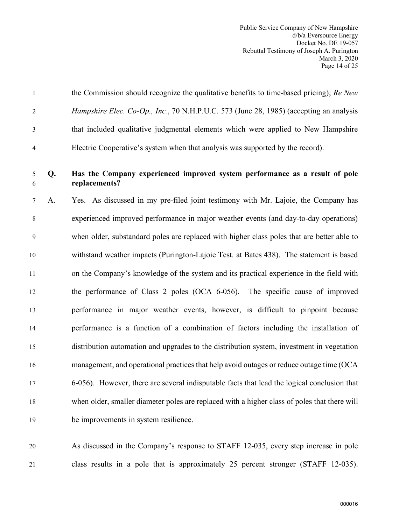|                | the Commission should recognize the qualitative benefits to time-based pricing); Re New       |
|----------------|-----------------------------------------------------------------------------------------------|
| 2              | <i>Hampshire Elec. Co-Op., Inc., 70 N.H.P.U.C. 573 (June 28, 1985) (accepting an analysis</i> |
| 3              | that included qualitative judgmental elements which were applied to New Hampshire             |
| $\overline{4}$ | Electric Cooperative's system when that analysis was supported by the record).                |

# 5 **Q. Has the Company experienced improved system performance as a result of pole**  6 **replacements?**

7 A. Yes. As discussed in my pre-filed joint testimony with Mr. Lajoie, the Company has 8 experienced improved performance in major weather events (and day-to-day operations) 9 when older, substandard poles are replaced with higher class poles that are better able to 10 withstand weather impacts (Purington-Lajoie Test. at Bates 438). The statement is based 11 on the Company's knowledge of the system and its practical experience in the field with 12 the performance of Class 2 poles (OCA 6-056). The specific cause of improved 13 performance in major weather events, however, is difficult to pinpoint because 14 performance is a function of a combination of factors including the installation of 15 distribution automation and upgrades to the distribution system, investment in vegetation 16 management, and operational practices that help avoid outages or reduce outage time (OCA 17 6-056). However, there are several indisputable facts that lead the logical conclusion that 18 when older, smaller diameter poles are replaced with a higher class of poles that there will 19 be improvements in system resilience.

20 As discussed in the Company's response to STAFF 12-035, every step increase in pole 21 class results in a pole that is approximately 25 percent stronger (STAFF 12-035).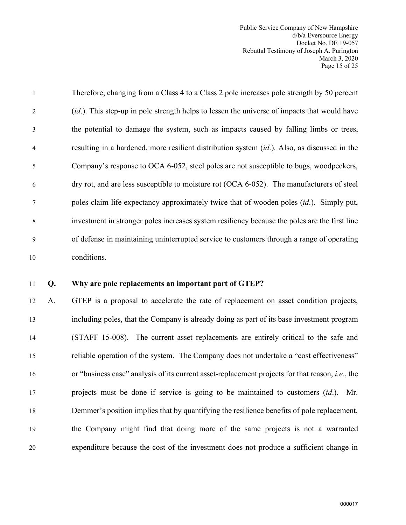Public Service Company of New Hampshire d/b/a Eversource Energy Docket No. DE 19-057 Rebuttal Testimony of Joseph A. Purington March 3, 2020 Page 15 of 25

| $\mathbf{1}$   | Therefore, changing from a Class 4 to a Class 2 pole increases pole strength by 50 percent           |
|----------------|------------------------------------------------------------------------------------------------------|
| 2              | <i>(id.)</i> . This step-up in pole strength helps to lessen the universe of impacts that would have |
| 3              | the potential to damage the system, such as impacts caused by falling limbs or trees,                |
| $\overline{4}$ | resulting in a hardened, more resilient distribution system (id.). Also, as discussed in the         |
| 5              | Company's response to OCA 6-052, steel poles are not susceptible to bugs, woodpeckers,               |
| 6              | dry rot, and are less susceptible to moisture rot (OCA 6-052). The manufacturers of steel            |
| $\tau$         | poles claim life expectancy approximately twice that of wooden poles <i>(id.)</i> . Simply put,      |
| 8              | investment in stronger poles increases system resiliency because the poles are the first line        |
| 9              | of defense in maintaining uninterrupted service to customers through a range of operating            |
| 10             | conditions.                                                                                          |

#### 11 **Q. Why are pole replacements an important part of GTEP?**

12 A. GTEP is a proposal to accelerate the rate of replacement on asset condition projects, 13 including poles, that the Company is already doing as part of its base investment program 14 (STAFF 15-008). The current asset replacements are entirely critical to the safe and 15 reliable operation of the system. The Company does not undertake a "cost effectiveness" 16 or "business case" analysis of its current asset-replacement projects for that reason, *i.e.*, the 17 projects must be done if service is going to be maintained to customers (*id*.). Mr. 18 Demmer's position implies that by quantifying the resilience benefits of pole replacement, 19 the Company might find that doing more of the same projects is not a warranted 20 expenditure because the cost of the investment does not produce a sufficient change in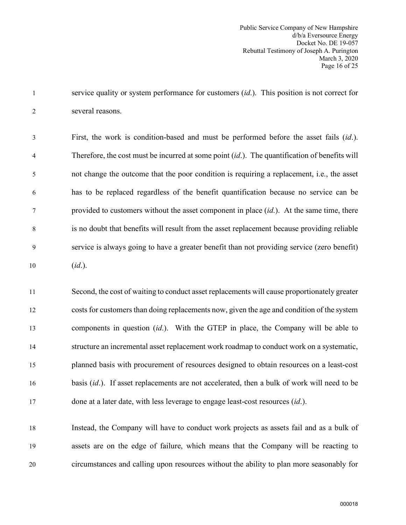1 service quality or system performance for customers (*id*.). This position is not correct for 2 several reasons.

3 First, the work is condition-based and must be performed before the asset fails (*id*.). 4 Therefore, the cost must be incurred at some point (*id*.). The quantification of benefits will 5 not change the outcome that the poor condition is requiring a replacement, i.e., the asset 6 has to be replaced regardless of the benefit quantification because no service can be 7 provided to customers without the asset component in place (*id*.). At the same time, there 8 is no doubt that benefits will result from the asset replacement because providing reliable 9 service is always going to have a greater benefit than not providing service (zero benefit) 10 (*id*.).

11 Second, the cost of waiting to conduct asset replacements will cause proportionately greater 12 costs for customers than doing replacements now, given the age and condition of the system 13 components in question (*id*.). With the GTEP in place, the Company will be able to 14 structure an incremental asset replacement work roadmap to conduct work on a systematic, 15 planned basis with procurement of resources designed to obtain resources on a least-cost 16 basis *(id.)*. If asset replacements are not accelerated, then a bulk of work will need to be 17 done at a later date, with less leverage to engage least-cost resources (*id*.).

18 Instead, the Company will have to conduct work projects as assets fail and as a bulk of 19 assets are on the edge of failure, which means that the Company will be reacting to 20 circumstances and calling upon resources without the ability to plan more seasonably for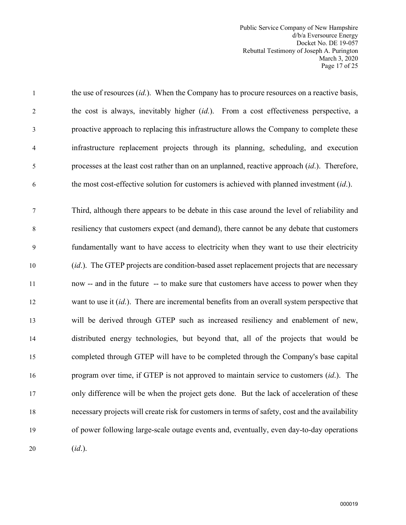Public Service Company of New Hampshire d/b/a Eversource Energy Docket No. DE 19-057 Rebuttal Testimony of Joseph A. Purington March 3, 2020 Page 17 of 25

1 the use of resources (*id*.). When the Company has to procure resources on a reactive basis, 2 the cost is always, inevitably higher (*id*.). From a cost effectiveness perspective, a 3 proactive approach to replacing this infrastructure allows the Company to complete these 4 infrastructure replacement projects through its planning, scheduling, and execution 5 processes at the least cost rather than on an unplanned, reactive approach (*id*.). Therefore, 6 the most cost-effective solution for customers is achieved with planned investment (*id*.).

7 Third, although there appears to be debate in this case around the level of reliability and 8 resiliency that customers expect (and demand), there cannot be any debate that customers 9 fundamentally want to have access to electricity when they want to use their electricity 10 (*id*.). The GTEP projects are condition-based asset replacement projects that are necessary 11 now -- and in the future -- to make sure that customers have access to power when they 12 want to use it (*id*.). There are incremental benefits from an overall system perspective that 13 will be derived through GTEP such as increased resiliency and enablement of new, 14 distributed energy technologies, but beyond that, all of the projects that would be 15 completed through GTEP will have to be completed through the Company's base capital 16 program over time, if GTEP is not approved to maintain service to customers (*id*.). The 17 only difference will be when the project gets done. But the lack of acceleration of these 18 necessary projects will create risk for customers in terms of safety, cost and the availability 19 of power following large-scale outage events and, eventually, even day-to-day operations 20 (*id*.).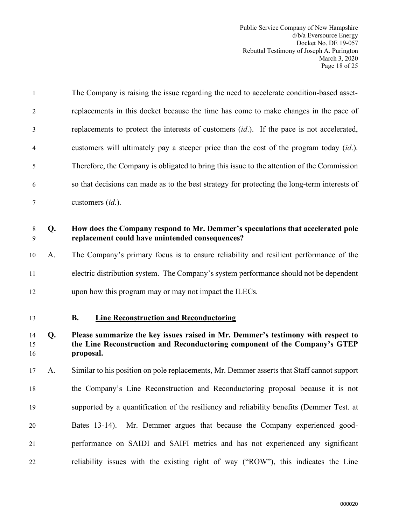<span id="page-19-0"></span>

| $\mathbf{1}$   |    | The Company is raising the issue regarding the need to accelerate condition-based asset-                                                                                    |
|----------------|----|-----------------------------------------------------------------------------------------------------------------------------------------------------------------------------|
| $\overline{2}$ |    | replacements in this docket because the time has come to make changes in the pace of                                                                                        |
| 3              |    | replacements to protect the interests of customers <i>(id.)</i> . If the pace is not accelerated,                                                                           |
| $\overline{4}$ |    | customers will ultimately pay a steeper price than the cost of the program today <i>(id.)</i> .                                                                             |
| 5              |    | Therefore, the Company is obligated to bring this issue to the attention of the Commission                                                                                  |
| 6              |    | so that decisions can made as to the best strategy for protecting the long-term interests of                                                                                |
| 7              |    | customers $(id.)$ .                                                                                                                                                         |
| 8<br>9         | Q. | How does the Company respond to Mr. Demmer's speculations that accelerated pole<br>replacement could have unintended consequences?                                          |
| 10             | A. | The Company's primary focus is to ensure reliability and resilient performance of the                                                                                       |
| 11             |    | electric distribution system. The Company's system performance should not be dependent                                                                                      |
| 12             |    | upon how this program may or may not impact the ILECs.                                                                                                                      |
| 13             |    | <b>Line Reconstruction and Reconductoring</b><br><b>B.</b>                                                                                                                  |
| 14<br>15<br>16 | Q. | Please summarize the key issues raised in Mr. Demmer's testimony with respect to<br>the Line Reconstruction and Reconductoring component of the Company's GTEP<br>proposal. |
| 17             | A. | Similar to his position on pole replacements, Mr. Demmer asserts that Staff cannot support                                                                                  |
| 18             |    | the Company's Line Reconstruction and Reconductoring proposal because it is not                                                                                             |
| 19             |    | supported by a quantification of the resiliency and reliability benefits (Demmer Test. at                                                                                   |
| 20             |    | Mr. Demmer argues that because the Company experienced good-<br>Bates 13-14).                                                                                               |
| 21             |    | performance on SAIDI and SAIFI metrics and has not experienced any significant                                                                                              |
| 22             |    | reliability issues with the existing right of way ("ROW"), this indicates the Line                                                                                          |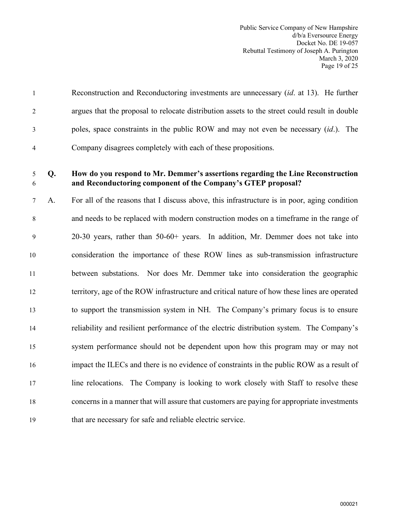|                | Reconstruction and Reconductoring investments are unnecessary <i>(id. at 13)</i> . He further |
|----------------|-----------------------------------------------------------------------------------------------|
| 2              | argues that the proposal to relocate distribution assets to the street could result in double |
| 3              | poles, space constraints in the public ROW and may not even be necessary <i>(id.)</i> . The   |
| $\overline{4}$ | Company disagrees completely with each of these propositions.                                 |

# 5 **Q. How do you respond to Mr. Demmer's assertions regarding the Line Reconstruction**  6 **and Reconductoring component of the Company's GTEP proposal?**

7 A. For all of the reasons that I discuss above, this infrastructure is in poor, aging condition 8 and needs to be replaced with modern construction modes on a timeframe in the range of 9 20-30 years, rather than 50-60+ years. In addition, Mr. Demmer does not take into 10 consideration the importance of these ROW lines as sub-transmission infrastructure 11 between substations. Nor does Mr. Demmer take into consideration the geographic 12 territory, age of the ROW infrastructure and critical nature of how these lines are operated 13 to support the transmission system in NH. The Company's primary focus is to ensure 14 reliability and resilient performance of the electric distribution system. The Company's 15 system performance should not be dependent upon how this program may or may not 16 impact the ILECs and there is no evidence of constraints in the public ROW as a result of 17 line relocations. The Company is looking to work closely with Staff to resolve these 18 concerns in a manner that will assure that customers are paying for appropriate investments 19 that are necessary for safe and reliable electric service.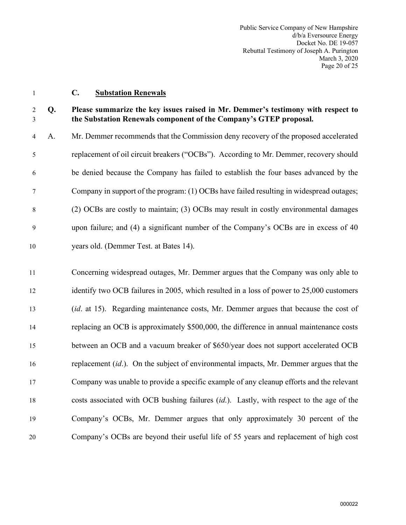<span id="page-21-0"></span>

#### 1 **C. Substation Renewals**

# 2 **Q. Please summarize the key issues raised in Mr. Demmer's testimony with respect to**  3 **the Substation Renewals component of the Company's GTEP proposal.**

4 A. Mr. Demmer recommends that the Commission deny recovery of the proposed accelerated 5 replacement of oil circuit breakers ("OCBs"). According to Mr. Demmer, recovery should 6 be denied because the Company has failed to establish the four bases advanced by the 7 Company in support of the program: (1) OCBs have failed resulting in widespread outages; 8 (2) OCBs are costly to maintain; (3) OCBs may result in costly environmental damages 9 upon failure; and (4) a significant number of the Company's OCBs are in excess of 40 10 years old. (Demmer Test. at Bates 14).

11 Concerning widespread outages, Mr. Demmer argues that the Company was only able to 12 identify two OCB failures in 2005, which resulted in a loss of power to 25,000 customers 13 (*id*. at 15). Regarding maintenance costs, Mr. Demmer argues that because the cost of 14 replacing an OCB is approximately \$500,000, the difference in annual maintenance costs 15 between an OCB and a vacuum breaker of \$650/year does not support accelerated OCB 16 replacement (*id*.). On the subject of environmental impacts, Mr. Demmer argues that the 17 Company was unable to provide a specific example of any cleanup efforts and the relevant 18 costs associated with OCB bushing failures (*id*.). Lastly, with respect to the age of the 19 Company's OCBs, Mr. Demmer argues that only approximately 30 percent of the 20 Company's OCBs are beyond their useful life of 55 years and replacement of high cost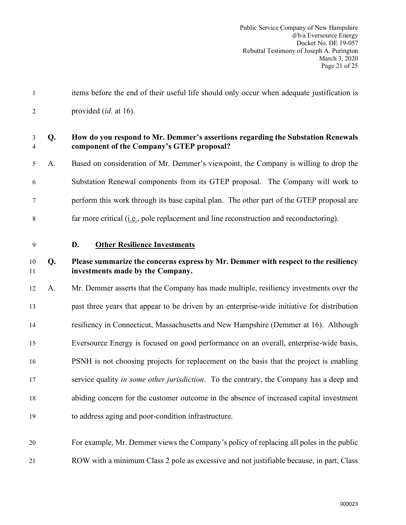<span id="page-22-0"></span>

| $\mathbf{1}$        |    | items before the end of their useful life should only occur when adequate justification is                                   |
|---------------------|----|------------------------------------------------------------------------------------------------------------------------------|
| $\overline{2}$      |    | provided <i>(id. at 16)</i> .                                                                                                |
| 3<br>$\overline{4}$ | Q. | How do you respond to Mr. Demmer's assertions regarding the Substation Renewals<br>component of the Company's GTEP proposal? |
| 5                   | A. | Based on consideration of Mr. Demmer's viewpoint, the Company is willing to drop the                                         |
| 6                   |    | Substation Renewal components from its GTEP proposal. The Company will work to                                               |
| 7                   |    | perform this work through its base capital plan. The other part of the GTEP proposal are                                     |
| 8                   |    | far more critical ( <i>i.e.</i> , pole replacement and line reconstruction and reconductoring).                              |
| 9                   |    | <b>Other Resilience Investments</b><br>D.                                                                                    |
| 10<br>11            | Q. | Please summarize the concerns express by Mr. Demmer with respect to the resiliency<br>investments made by the Company.       |
| 12                  | A. | Mr. Demmer asserts that the Company has made multiple, resiliency investments over the                                       |
| 13                  |    | past three years that appear to be driven by an enterprise-wide initiative for distribution                                  |
| 14                  |    | resiliency in Connecticut, Massachusetts and New Hampshire (Demmer at 16). Although                                          |
| 15                  |    | Eversource Energy is focused on good performance on an overall, enterprise-wide basis,                                       |
| 16                  |    | PSNH is not choosing projects for replacement on the basis that the project is enabling                                      |
| 17                  |    | service quality in some other jurisdiction. To the contrary, the Company has a deep and                                      |
| 18                  |    | abiding concern for the customer outcome in the absence of increased capital investment                                      |
| 19                  |    | to address aging and poor-condition infrastructure.                                                                          |
| 20                  |    | For example, Mr. Demmer views the Company's policy of replacing all poles in the public                                      |
| 21                  |    | ROW with a minimum Class 2 pole as excessive and not justifiable because, in part, Class                                     |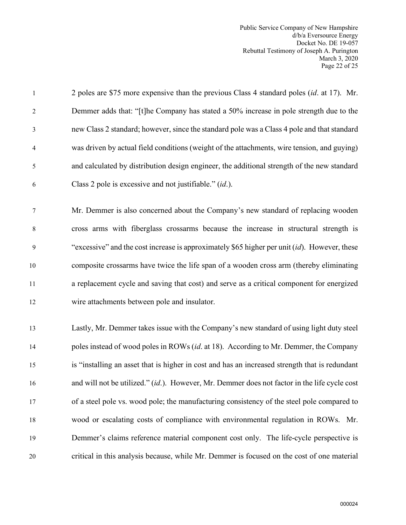Public Service Company of New Hampshire d/b/a Eversource Energy Docket No. DE 19-057 Rebuttal Testimony of Joseph A. Purington March 3, 2020 Page 22 of 25

| $\mathbf{1}$   | 2 poles are \$75 more expensive than the previous Class 4 standard poles <i>(id. at 17)</i> . Mr. |
|----------------|---------------------------------------------------------------------------------------------------|
| $\overline{2}$ | Demmer adds that: "[t]he Company has stated a 50% increase in pole strength due to the            |
| 3              | new Class 2 standard; however, since the standard pole was a Class 4 pole and that standard       |
| $\overline{4}$ | was driven by actual field conditions (weight of the attachments, wire tension, and guying)       |
| 5              | and calculated by distribution design engineer, the additional strength of the new standard       |
| 6              | Class 2 pole is excessive and not justifiable." (id.).                                            |
| $\tau$         | Mr. Demmer is also concerned about the Company's new standard of replacing wooden                 |
| 8              | cross arms with fiberglass crossarms because the increase in structural strength is               |
| 9              | "excessive" and the cost increase is approximately \$65 higher per unit $(id)$ . However, these   |
| 10             | composite crossarms have twice the life span of a wooden cross arm (thereby eliminating           |
| 11             | a replacement cycle and saving that cost) and serve as a critical component for energized         |
| 12             | wire attachments between pole and insulator.                                                      |
| 13             | Lastly, Mr. Demmer takes issue with the Company's new standard of using light duty steel          |
| 14             | poles instead of wood poles in ROWs (id. at 18). According to Mr. Demmer, the Company             |
| 15             | is "installing an asset that is higher in cost and has an increased strength that is redundant    |
| 16             | and will not be utilized." (id.). However, Mr. Demmer does not factor in the life cycle cost      |
| 17             | of a steel pole vs. wood pole; the manufacturing consistency of the steel pole compared to        |
| 18             | wood or escalating costs of compliance with environmental regulation in ROWs. Mr.                 |
| 19             | Demmer's claims reference material component cost only. The life-cycle perspective is             |
| 20             | critical in this analysis because, while Mr. Demmer is focused on the cost of one material        |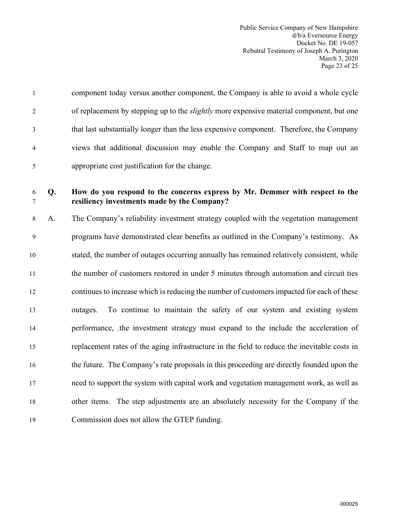| $\mathbf{1}$   | component today versus another component, the Company is able to avoid a whole cycle            |
|----------------|-------------------------------------------------------------------------------------------------|
| 2              | of replacement by stepping up to the <i>slightly</i> more expensive material component, but one |
| 3              | that last substantially longer than the less expensive component. Therefore, the Company        |
| $\overline{4}$ | views that additional discussion may enable the Company and Staff to map out an                 |
| 5              | appropriate cost justification for the change.                                                  |

# 6 **Q. How do you respond to the concerns express by Mr. Demmer with respect to the**  7 **resiliency investments made by the Company?**

8 A. The Company's reliability investment strategy coupled with the vegetation management 9 programs have demonstrated clear benefits as outlined in the Company's testimony. As 10 stated, the number of outages occurring annually has remained relatively consistent, while 11 the number of customers restored in under 5 minutes through automation and circuit ties 12 continues to increase which is reducing the number of customers impacted for each of these 13 outages. To continue to maintain the safety of our system and existing system 14 performance, .the investment strategy must expand to the include the acceleration of 15 replacement rates of the aging infrastructure in the field to reduce the inevitable costs in 16 the future. The Company's rate proposals in this proceeding are directly founded upon the 17 need to support the system with capital work and vegetation management work, as well as 18 other items. The step adjustments are an absolutely necessity for the Company if the 19 Commission does not allow the GTEP funding.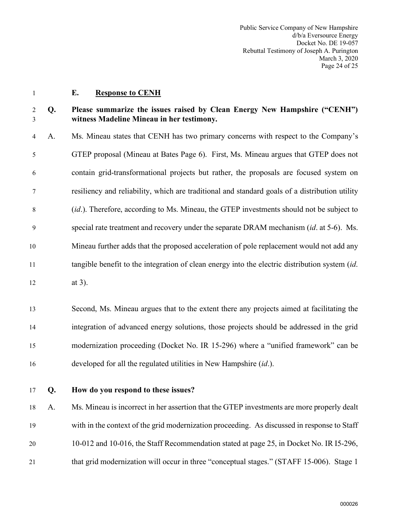<span id="page-25-0"></span>

#### 1 **E. Response to CENH**

# 2 **Q. Please summarize the issues raised by Clean Energy New Hampshire ("CENH")**  3 **witness Madeline Mineau in her testimony.**

4 A. Ms. Mineau states that CENH has two primary concerns with respect to the Company's 5 GTEP proposal (Mineau at Bates Page 6). First, Ms. Mineau argues that GTEP does not 6 contain grid-transformational projects but rather, the proposals are focused system on 7 resiliency and reliability, which are traditional and standard goals of a distribution utility 8 (*id*.). Therefore, according to Ms. Mineau, the GTEP investments should not be subject to 9 special rate treatment and recovery under the separate DRAM mechanism (*id*. at 5-6). Ms. 10 Mineau further adds that the proposed acceleration of pole replacement would not add any 11 tangible benefit to the integration of clean energy into the electric distribution system (*id*. 12 at 3).

13 Second, Ms. Mineau argues that to the extent there any projects aimed at facilitating the 14 integration of advanced energy solutions, those projects should be addressed in the grid 15 modernization proceeding (Docket No. IR 15-296) where a "unified framework" can be 16 developed for all the regulated utilities in New Hampshire (*id*.).

# 17 **Q. How do you respond to these issues?**

18 A. Ms. Mineau is incorrect in her assertion that the GTEP investments are more properly dealt 19 with in the context of the grid modernization proceeding. As discussed in response to Staff 20 10-012 and 10-016, the Staff Recommendation stated at page 25, in Docket No. IR I5-296, 21 that grid modernization will occur in three "conceptual stages." (STAFF 15-006). Stage 1